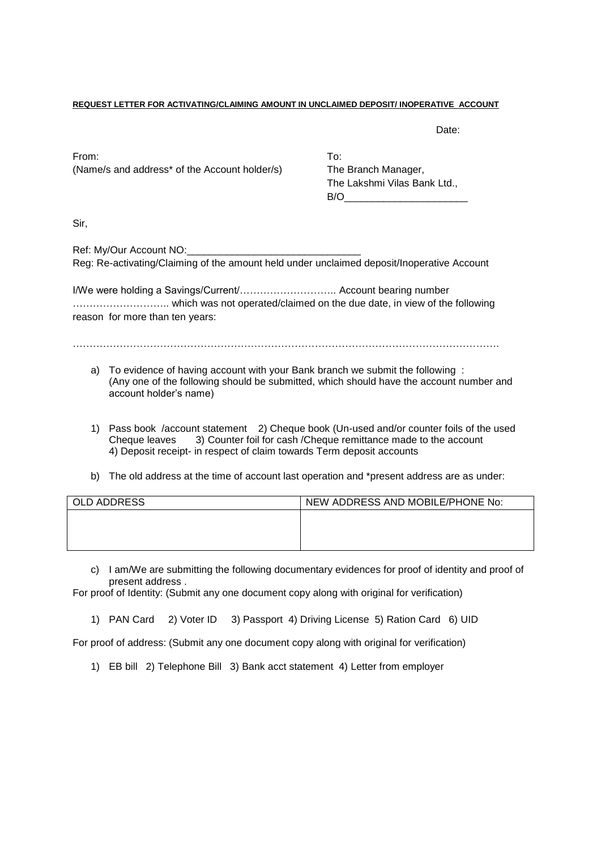#### **REQUEST LETTER FOR ACTIVATING/CLAIMING AMOUNT IN UNCLAIMED DEPOSIT/ INOPERATIVE ACCOUNT**

Date:

From: To: (Name/s and address\* of the Account holder/s) The Branch Manager,

The Lakshmi Vilas Bank Ltd.,  $B/O$ 

Sir,

Ref: My/Our Account NO: Reg: Re-activating/Claiming of the amount held under unclaimed deposit/Inoperative Account

I/We were holding a Savings/Current/……………………….. Account bearing number ……………………….. which was not operated/claimed on the due date, in view of the following reason for more than ten years:

- a) To evidence of having account with your Bank branch we submit the following : (Any one of the following should be submitted, which should have the account number and account holder's name)
- 1) Pass book /account statement 2) Cheque book (Un-used and/or counter foils of the used Cheque leaves 3) Counter foil for cash /Cheque remittance made to the account 4) Deposit receipt- in respect of claim towards Term deposit accounts
- b) The old address at the time of account last operation and \*present address are as under:

| OLD ADDRESS | NEW ADDRESS AND MOBILE/PHONE No: |
|-------------|----------------------------------|
|             |                                  |
|             |                                  |
|             |                                  |

c) I am/We are submitting the following documentary evidences for proof of identity and proof of present address .

For proof of Identity: (Submit any one document copy along with original for verification)

1) PAN Card 2) Voter ID 3) Passport 4) Driving License 5) Ration Card 6) UID

For proof of address: (Submit any one document copy along with original for verification)

1) EB bill 2) Telephone Bill 3) Bank acct statement 4) Letter from employer